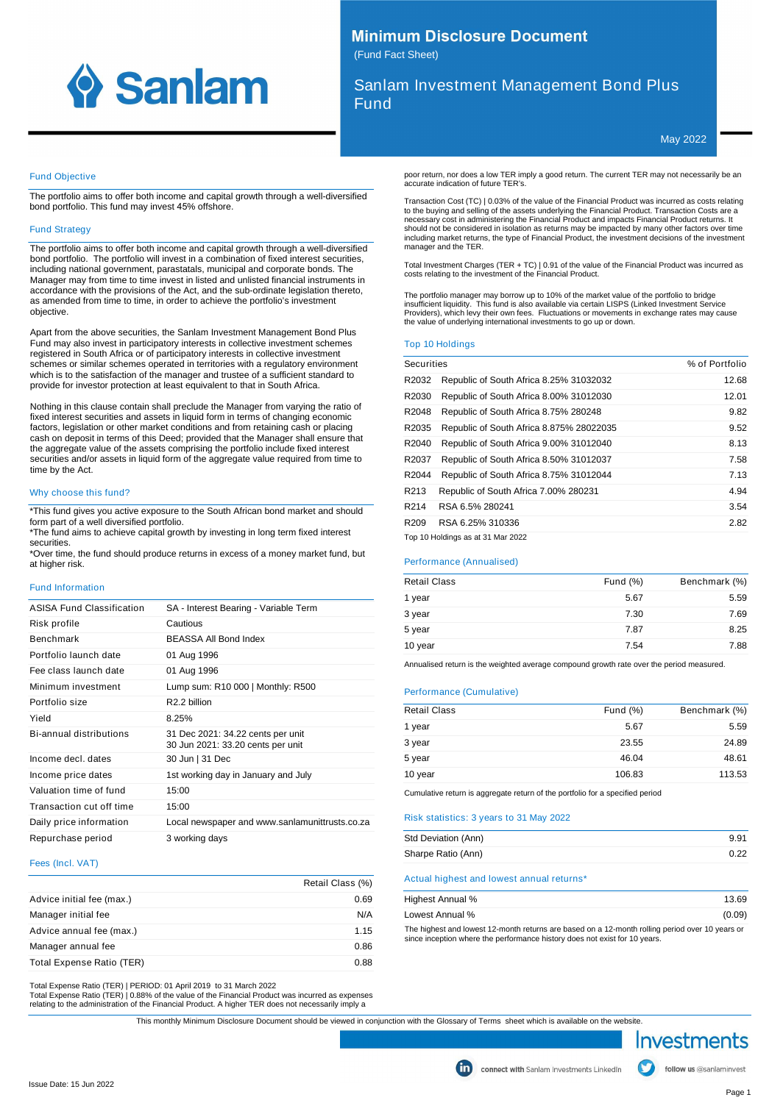

## **Minimum Disclosure Document** (Fund Fact Sheet)

Sanlam Investment Management Bond Plus Fund

May 2022

## Fund Objective

The portfolio aims to offer both income and capital growth through a well-diversified bond portfolio. This fund may invest 45% offshore.

#### **Fund Strategy**

The portfolio aims to offer both income and capital growth through a well-diversified bond portfolio. The portfolio will invest in a combination of fixed interest securities, including national government, parastatals, municipal and corporate bonds. The Manager may from time to time invest in listed and unlisted financial instruments in accordance with the provisions of the Act, and the sub-ordinate legislation thereto, as amended from time to time, in order to achieve the portfolio's investment objective.

Apart from the above securities, the Sanlam Investment Management Bond Plus Fund may also invest in participatory interests in collective investment schemes registered in South Africa or of participatory interests in collective investment schemes or similar schemes operated in territories with a regulatory environment which is to the satisfaction of the manager and trustee of a sufficient standard to provide for investor protection at least equivalent to that in South Africa.

Nothing in this clause contain shall preclude the Manager from varying the ratio of fixed interest securities and assets in liquid form in terms of changing economic factors, legislation or other market conditions and from retaining cash or placing cash on deposit in terms of this Deed; provided that the Manager shall ensure that the aggregate value of the assets comprising the portfolio include fixed interest securities and/or assets in liquid form of the aggregate value required from time to time by the Act.

## Why choose this fund?

\*This fund gives you active exposure to the South African bond market and should form part of a well diversified portfolio.

\*The fund aims to achieve capital growth by investing in long term fixed interest securities.

\*Over time, the fund should produce returns in excess of a money market fund, but at higher risk.

## Fund Information

| ASISA Fund Classification | SA - Interest Bearing - Variable Term                                  |
|---------------------------|------------------------------------------------------------------------|
| Risk profile              | Cautious                                                               |
| Benchmark                 | <b>BEASSA All Bond Index</b>                                           |
| Portfolio launch date     | 01 Aug 1996                                                            |
| Fee class launch date     | 01 Aug 1996                                                            |
| Minimum investment        | Lump sum: R10 000   Monthly: R500                                      |
| Portfolio size            | R <sub>2.2</sub> billion                                               |
| Yield                     | 8.25%                                                                  |
| Bi-annual distributions   | 31 Dec 2021: 34.22 cents per unit<br>30 Jun 2021: 33.20 cents per unit |
| Income decl. dates        | 30 Jun   31 Dec                                                        |
| Income price dates        | 1st working day in January and July                                    |
| Valuation time of fund    | 15:00                                                                  |
| Transaction cut off time  | 15:00                                                                  |
| Daily price information   | Local newspaper and www.sanlamunittrusts.co.za                         |
| Repurchase period         | 3 working days                                                         |

#### Fees (Incl. VAT)

|                           | Retail Class (%) |
|---------------------------|------------------|
| Advice initial fee (max.) | 0.69             |
| Manager initial fee       | N/A              |
| Advice annual fee (max.)  | 1.15             |
| Manager annual fee        | 0.86             |
| Total Expense Ratio (TER) | 0.88             |

Total Expense Ratio (TER) | PERIOD: 01 April 2019 to 31 March 2022

Total Expense Ratio (TER) | 0.88% of the value of the Financial Product was incurred as expenses relating to the administration of the Financial Product. A higher TER does not necessarily imply a

poor return, nor does a low TER imply a good return. The current TER may not necessarily be an accurate indication of future TER's.

Transaction Cost (TC) | 0.03% of the value of the Financial Product was incurred as costs relating to the buying and selling of the assets underlying the Financial Product. Transaction Costs are a necessary cost in administering the Financial Product and impacts Financial Product returns. It should not be considered in isolation as returns may be impacted by many other factors over time including market returns, the type of Financial Product, the investment decisions of the investment manager and the TER.

Total Investment Charges (TER + TC) | 0.91 of the value of the Financial Product was incurred as costs relating to the investment of the Financial Product.

The portfolio manager may borrow up to 10% of the market value of the portfolio to bridge insufficient liquidity. This fund is also available via certain LISPS (Linked Investment Service Providers), which levy their own fees. Fluctuations or movements in exchange rates may cause the value of underlying international investments to go up or down.

#### Top 10 Holdings

| <b>Securities</b> |                                          | % of Portfolio |
|-------------------|------------------------------------------|----------------|
| R2032             | Republic of South Africa 8.25% 31032032  | 12.68          |
| R2030             | Republic of South Africa 8.00% 31012030  | 12.01          |
| R2048             | Republic of South Africa 8.75% 280248    | 9.82           |
| R2035             | Republic of South Africa 8.875% 28022035 | 9.52           |
| R2040             | Republic of South Africa 9.00% 31012040  | 8.13           |
| R2037             | Republic of South Africa 8.50% 31012037  | 7.58           |
| R2044             | Republic of South Africa 8.75% 31012044  | 7.13           |
| R213              | Republic of South Africa 7.00% 280231    | 4.94           |
| R214              | RSA 6.5% 280241                          | 3.54           |
| R <sub>209</sub>  | RSA 6.25% 310336                         | 2.82           |
|                   | Top 10 Holdings as at 31 Mar 2022        |                |

## Performance (Annualised)

| <b>Retail Class</b> | Fund $(\%)$ | Benchmark (%) |
|---------------------|-------------|---------------|
| 1 year              | 5.67        | 5.59          |
| 3 year              | 7.30        | 7.69          |
| 5 year              | 7.87        | 8.25          |
| 10 year             | 7.54        | 7.88          |
|                     |             |               |

Annualised return is the weighted average compound growth rate over the period measured.

#### Performance (Cumulative)

| <b>Retail Class</b> | Fund $(\%)$ | Benchmark (%) |
|---------------------|-------------|---------------|
| 1 year              | 5.67        | 5.59          |
| 3 year              | 23.55       | 24.89         |
| 5 year              | 46.04       | 48.61         |
| 10 year             | 106.83      | 113.53        |

Cumulative return is aggregate return of the portfolio for a specified period

Risk statistics: 3 years to 31 May 2022

| Std Deviation (Ann) | 9.91 |
|---------------------|------|
| Sharpe Ratio (Ann)  | 0.22 |

## Actual highest and lowest annual returns\*

| Highest Annual % | 13.69  |
|------------------|--------|
| Lowest Annual %  | (0.09) |

The highest and lowest 12-month returns are based on a 12-month rolling period over 10 years or since inception where the performance history does not exist for 10 years.



follow us @sanlaminvest